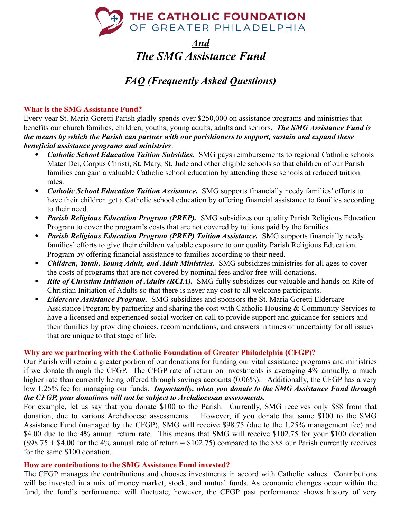

## *And The SMG Assistance Fund*

# *FAQ (Frequently Asked Questions)*

## **What is the SMG Assistance Fund?**

Every year St. Maria Goretti Parish gladly spends over \$250,000 on assistance programs and ministries that benefits our church families, children, youths, young adults, adults and seniors. *The SMG Assistance Fund is the means by which the Parish can partner with our parishioners to support, sustain and expand these beneficial assistance programs and ministries*:

- *Catholic School Education Tuition Subsidies.* SMG pays reimbursements to regional Catholic schools Mater Dei, Corpus Christi, St. Mary, St. Jude and other eligible schools so that children of our Parish families can gain a valuable Catholic school education by attending these schools at reduced tuition rates.
- *Catholic School Education Tuition Assistance.* SMG supports financially needy families' efforts to have their children get a Catholic school education by offering financial assistance to families according to their need.
- *Parish Religious Education Program (PREP).* SMG subsidizes our quality Parish Religious Education Program to cover the program's costs that are not covered by tuitions paid by the families.
- *Parish Religious Education Program (PREP) Tuition Assistance.* SMG supports financially needy families' efforts to give their children valuable exposure to our quality Parish Religious Education Program by offering financial assistance to families according to their need.
- *Children, Youth, Young Adult, and Adult Ministries.* SMG subsidizes ministries for all ages to cover the costs of programs that are not covered by nominal fees and/or free-will donations.
- *Rite of Christian Initiation of Adults (RCIA).* SMG fully subsidizes our valuable and hands-on Rite of Christian Initiation of Adults so that there is never any cost to all welcome participants.
- *Eldercare Assistance Program.* SMG subsidizes and sponsors the St. Maria Goretti Eldercare Assistance Program by partnering and sharing the cost with Catholic Housing & Community Services to have a licensed and experienced social worker on call to provide support and guidance for seniors and their families by providing choices, recommendations, and answers in times of uncertainty for all issues that are unique to that stage of life.

## **Why are we partnering with the Catholic Foundation of Greater Philadelphia (CFGP)?**

Our Parish will retain a greater portion of our donations for funding our vital assistance programs and ministries if we donate through the CFGP. The CFGP rate of return on investments is averaging 4% annually, a much higher rate than currently being offered through savings accounts (0.06%). Additionally, the CFGP has a very low 1.25% fee for managing our funds. *Importantly, when you donate to the SMG Assistance Fund through the CFGP, your donations will not be subject to Archdiocesan assessments.*

For example, let us say that you donate \$100 to the Parish. Currently, SMG receives only \$88 from that donation, due to various Archdiocese assessments. However, if you donate that same \$100 to the SMG Assistance Fund (managed by the CFGP), SMG will receive \$98.75 (due to the 1.25% management fee) and \$4.00 due to the 4% annual return rate. This means that SMG will receive \$102.75 for your \$100 donation  $($98.75 + $4.00$  for the 4% annual rate of return = \$102.75) compared to the \$88 our Parish currently receives for the same \$100 donation.

### **How are contributions to the SMG Assistance Fund invested?**

The CFGP manages the contributions and chooses investments in accord with Catholic values. Contributions will be invested in a mix of money market, stock, and mutual funds. As economic changes occur within the fund, the fund's performance will fluctuate; however, the CFGP past performance shows history of very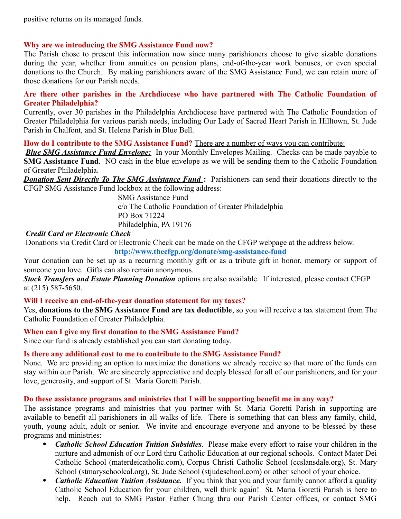positive returns on its managed funds.

### **Why are we introducing the SMG Assistance Fund now?**

The Parish chose to present this information now since many parishioners choose to give sizable donations during the year, whether from annuities on pension plans, end-of-the-year work bonuses, or even special donations to the Church. By making parishioners aware of the SMG Assistance Fund, we can retain more of those donations for our Parish needs.

### **Are there other parishes in the Archdiocese who have partnered with The Catholic Foundation of Greater Philadelphia?**

Currently, over 30 parishes in the Philadelphia Archdiocese have partnered with The Catholic Foundation of Greater Philadelphia for various parish needs, including Our Lady of Sacred Heart Parish in Hilltown, St. Jude Parish in Chalfont, and St. Helena Parish in Blue Bell.

**How do I contribute to the SMG Assistance Fund?** There are a number of ways you can contribute:

*Blue SMG Assistance Fund Envelope:* In your Monthly Envelopes Mailing. Checks can be made payable to **SMG Assistance Fund**. NO cash in the blue envelope as we will be sending them to the Catholic Foundation of Greater Philadelphia.

*Donation Sent Directly To The SMG Assistance Fund***:** Parishioners can send their donations directly to the CFGP SMG Assistance Fund lockbox at the following address:

> SMG Assistance Fund c/o The Catholic Foundation of Greater Philadelphia PO Box 71224 Philadelphia, PA 19176

### *Credit Card or Electronic Check*

Donations via Credit Card or Electronic Check can be made on the CFGP webpage at the address below.

**<http://www.thecfgp.org/donate/smg-assistance-fund>**

Your donation can be set up as a recurring monthly gift or as a tribute gift in honor, memory or support of someone you love. Gifts can also remain anonymous.

 *Stock Transfers and Estate Planning Donation* options are also available. If interested, please contact CFGP at (215) 587-5650.

#### **Will I receive an end-of-the-year donation statement for my taxes?**

Yes, **donations to the SMG Assistance Fund are tax deductible**, so you will receive a tax statement from The Catholic Foundation of Greater Philadelphia.

**When can I give my first donation to the SMG Assistance Fund?**

Since our fund is already established you can start donating today.

#### **Is there any additional cost to me to contribute to the SMG Assistance Fund?**

None. We are providing an option to maximize the donations we already receive so that more of the funds can stay within our Parish. We are sincerely appreciative and deeply blessed for all of our parishioners, and for your love, generosity, and support of St. Maria Goretti Parish.

#### **Do these assistance programs and ministries that I will be supporting benefit me in any way?**

The assistance programs and ministries that you partner with St. Maria Goretti Parish in supporting are available to benefit all parishioners in all walks of life. There is something that can bless any family, child, youth, young adult, adult or senior. We invite and encourage everyone and anyone to be blessed by these programs and ministries:

- *Catholic School Education Tuition Subsidies*. Please make every effort to raise your children in the nurture and admonish of our Lord thru Catholic Education at our regional schools. Contact Mater Dei Catholic School (materdeicatholic.com), Corpus Christi Catholic School (ccslansdale.org), St. Mary School (stmaryschoolcal.org), St. Jude School (stjudeschool.com) or other school of your choice.
- *Catholic Education Tuition Assistance*. If you think that you and your family cannot afford a quality Catholic School Education for your children, well think again! St. Maria Goretti Parish is here to help. Reach out to SMG Pastor Father Chung thru our Parish Center offices, or contact SMG